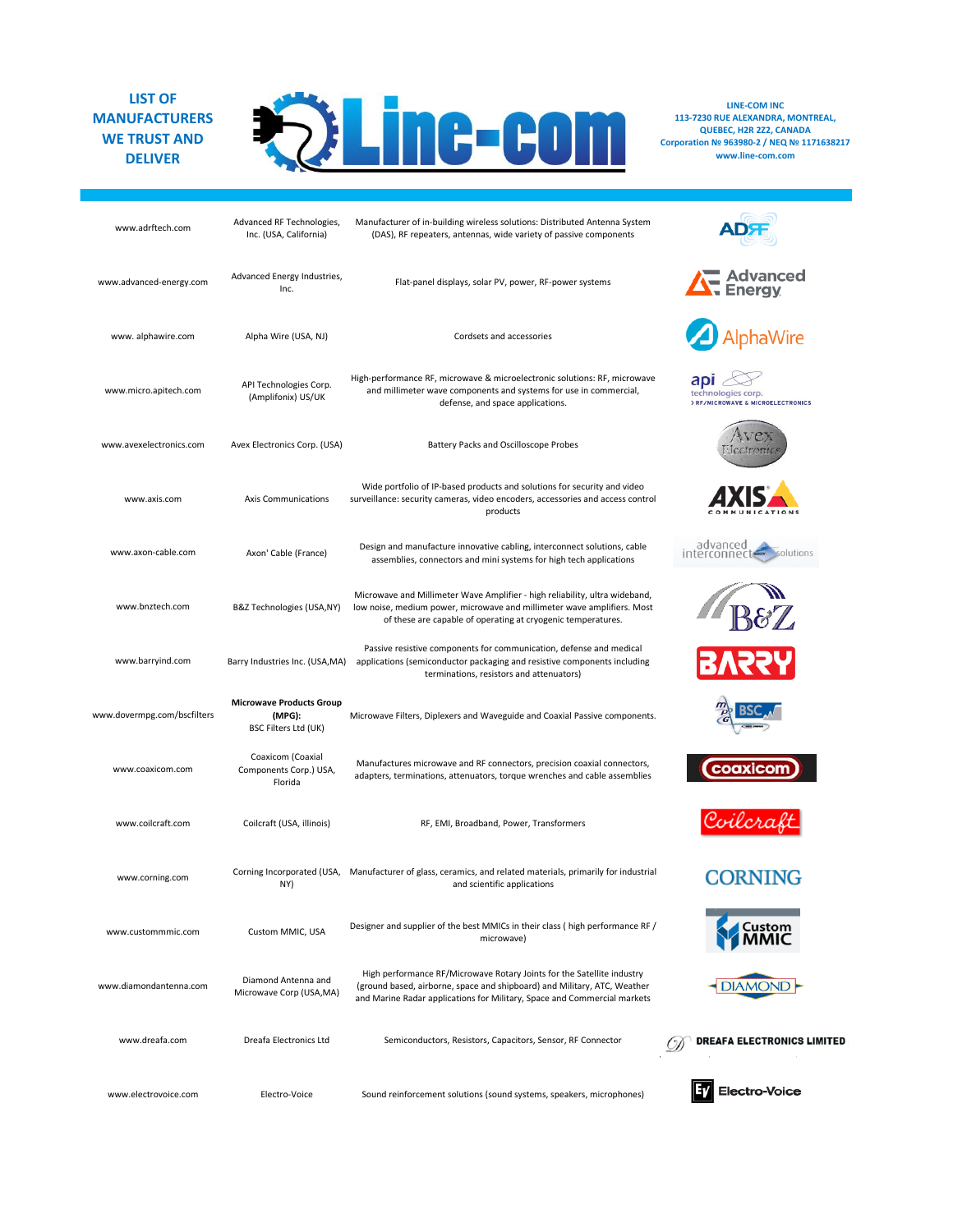## **LIST OF MANUFACTURERS WE TRUST AND DELIVER**



**LINE-COM INC 113-7230 RUE ALEXANDRA, MONTREAL, QUEBEC, H2R 2Z2, CANADA Corporation № 963980-2 / NEQ № 1171638217 www.line-com.com**

| www.adrftech.com            | Advanced RF Technologies,<br>Inc. (USA, California)               | Manufacturer of in-building wireless solutions: Distributed Antenna System<br>(DAS), RF repeaters, antennas, wide variety of passive components                                                                                |                                                                |
|-----------------------------|-------------------------------------------------------------------|--------------------------------------------------------------------------------------------------------------------------------------------------------------------------------------------------------------------------------|----------------------------------------------------------------|
| www.advanced-energy.com     | Advanced Energy Industries,<br>Inc.                               | Flat-panel displays, solar PV, power, RF-power systems                                                                                                                                                                         | <b>A</b> Advanced                                              |
| www.alphawire.com           | Alpha Wire (USA, NJ)                                              | Cordsets and accessories                                                                                                                                                                                                       | AlphaWire                                                      |
| www.micro.apitech.com       | API Technologies Corp.<br>(Amplifonix) US/UK                      | High-performance RF, microwave & microelectronic solutions: RF, microwave<br>and millimeter wave components and systems for use in commercial,<br>defense, and space applications.                                             | apı<br>technologies corp.<br>> RF/MICROWAVE & MICROELECTRONICS |
| www.avexelectronics.com     | Avex Electronics Corp. (USA)                                      | Battery Packs and Oscilloscope Probes                                                                                                                                                                                          | <i><b>Jectrome</b></i>                                         |
| www.axis.com                | Axis Communications                                               | Wide portfolio of IP-based products and solutions for security and video<br>surveillance: security cameras, video encoders, accessories and access control<br>products                                                         |                                                                |
| www.axon-cable.com          | Axon' Cable (France)                                              | Design and manufacture innovative cabling, interconnect solutions, cable<br>assemblies, connectors and mini systems for high tech applications                                                                                 | advanced<br>solutions<br>interconnec                           |
| www.bnztech.com             | B&Z Technologies (USA,NY)                                         | Microwave and Millimeter Wave Amplifier - high reliability, ultra wideband,<br>low noise, medium power, microwave and millimeter wave amplifiers. Most<br>of these are capable of operating at cryogenic temperatures.         | $\mathbb{B}\mathscr{C}\mathbb{Z}$                              |
| www.barryind.com            | Barry Industries Inc. (USA, MA)                                   | Passive resistive components for communication, defense and medical<br>applications (semiconductor packaging and resistive components including<br>terminations, resistors and attenuators)                                    |                                                                |
| www.dovermpg.com/bscfilters | <b>Microwave Products Group</b><br>(MPG):<br>BSC Filters Ltd (UK) | Microwave Filters, Diplexers and Waveguide and Coaxial Passive components.                                                                                                                                                     |                                                                |
| www.coaxicom.com            | Coaxicom (Coaxial<br>Components Corp.) USA,<br>Florida            | Manufactures microwave and RF connectors, precision coaxial connectors,<br>adapters, terminations, attenuators, torque wrenches and cable assemblies                                                                           | coaxicon                                                       |
| www.coilcraft.com           | Coilcraft (USA, illinois)                                         | RF, EMI, Broadband, Power, Transformers                                                                                                                                                                                        | Coilcraft                                                      |
| www.corning.com             | NY)                                                               | Corning Incorporated (USA, Manufacturer of glass, ceramics, and related materials, primarily for industrial<br>and scientific applications                                                                                     | CORNING                                                        |
| www.custommmic.com          | Custom MMIC, USA                                                  | Designer and supplier of the best MMICs in their class (high performance RF /<br>microwave)                                                                                                                                    | ustom                                                          |
| www.diamondantenna.com      | Diamond Antenna and<br>Microwave Corp (USA,MA)                    | High performance RF/Microwave Rotary Joints for the Satellite industry<br>(ground based, airborne, space and shipboard) and Military, ATC, Weather<br>and Marine Radar applications for Military, Space and Commercial markets | <b>DIAMOND</b>                                                 |
| www.dreafa.com              | Dreafa Electronics Ltd                                            | Semiconductors, Resistors, Capacitors, Sensor, RF Connector                                                                                                                                                                    | DREAFA ELECTRONICS LIMITED                                     |
| www.electrovoice.com        | Electro-Voice                                                     | Sound reinforcement solutions (sound systems, speakers, microphones)                                                                                                                                                           | Electro-Voice                                                  |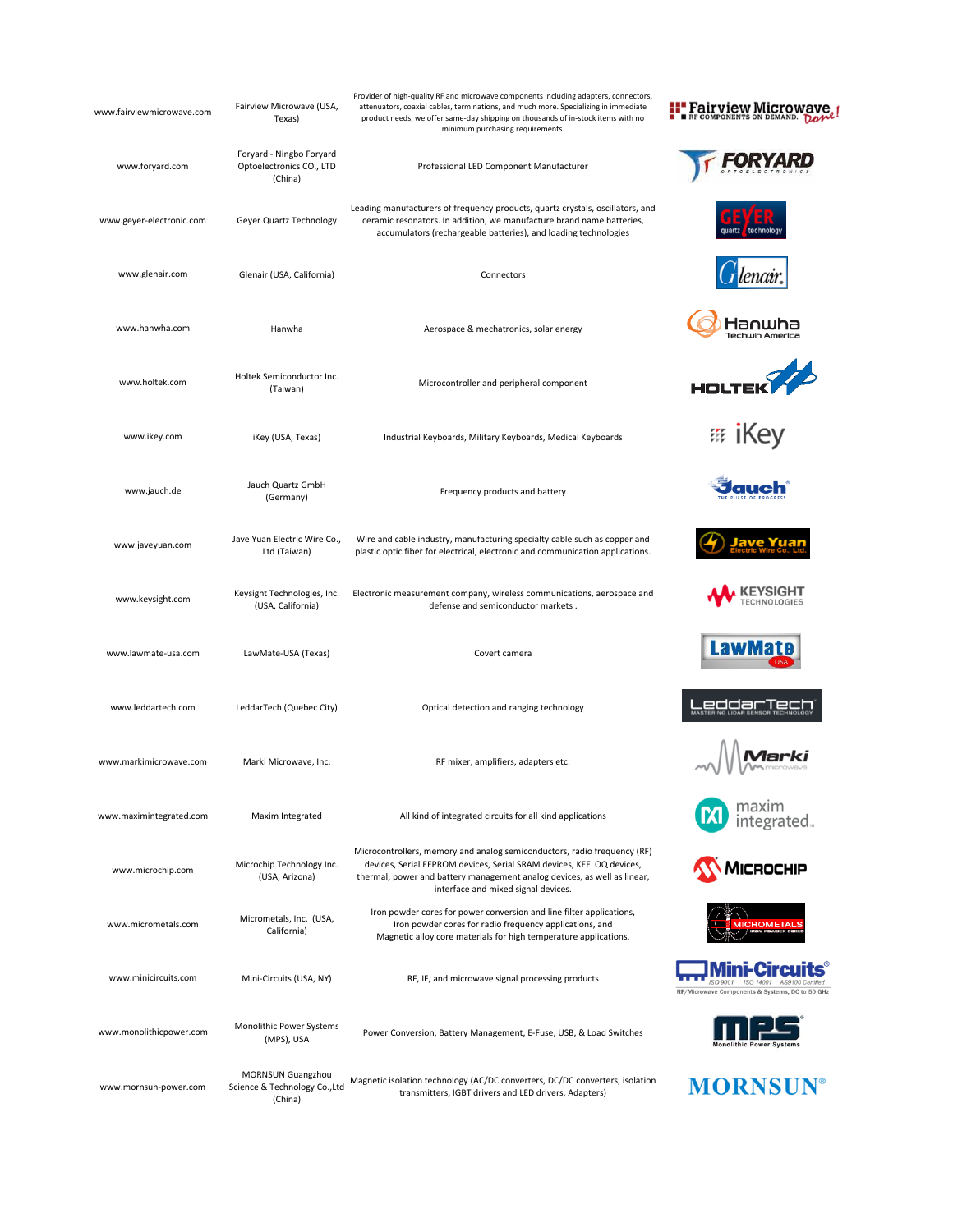| www.fairviewmicrowave.com | Fairview Microwave (USA,<br>Texas)                              | Provider of high-quality RF and microwave components including adapters, connectors,<br>attenuators, coaxial cables, terminations, and much more. Specializing in immediate<br>product needs, we offer same-day shipping on thousands of in-stock items with no<br>minimum purchasing requirements. | <b>Fairview Microwave</b><br>COMPONENTS ON DEMAND.                       |
|---------------------------|-----------------------------------------------------------------|-----------------------------------------------------------------------------------------------------------------------------------------------------------------------------------------------------------------------------------------------------------------------------------------------------|--------------------------------------------------------------------------|
| www.foryard.com           | Foryard - Ningbo Foryard<br>Optoelectronics CO., LTD<br>(China) | Professional LED Component Manufacturer                                                                                                                                                                                                                                                             |                                                                          |
| www.geyer-electronic.com  | Geyer Quartz Technology                                         | Leading manufacturers of frequency products, quartz crystals, oscillators, and<br>ceramic resonators. In addition, we manufacture brand name batteries,<br>accumulators (rechargeable batteries), and loading technologies                                                                          |                                                                          |
| www.glenair.com           | Glenair (USA, California)                                       | Connectors                                                                                                                                                                                                                                                                                          |                                                                          |
| www.hanwha.com            | Hanwha                                                          | Aerospace & mechatronics, solar energy                                                                                                                                                                                                                                                              | 1anu<br>Techwin Ameri                                                    |
| www.holtek.com            | Holtek Semiconductor Inc.<br>(Taiwan)                           | Microcontroller and peripheral component                                                                                                                                                                                                                                                            | <b>HOLTEK</b>                                                            |
| www.ikey.com              | iKey (USA, Texas)                                               | Industrial Keyboards, Military Keyboards, Medical Keyboards                                                                                                                                                                                                                                         |                                                                          |
| www.jauch.de              | Jauch Quartz GmbH<br>(Germany)                                  | Frequency products and battery                                                                                                                                                                                                                                                                      |                                                                          |
| www.javeyuan.com          | Jave Yuan Electric Wire Co.,<br>Ltd (Taiwan)                    | Wire and cable industry, manufacturing specialty cable such as copper and<br>plastic optic fiber for electrical, electronic and communication applications.                                                                                                                                         |                                                                          |
| www.keysight.com          | Keysight Technologies, Inc.<br>(USA, California)                | Electronic measurement company, wireless communications, aerospace and<br>defense and semiconductor markets.                                                                                                                                                                                        |                                                                          |
| www.lawmate-usa.com       | LawMate-USA (Texas)                                             | Covert camera                                                                                                                                                                                                                                                                                       | <b>LawMa</b>                                                             |
| www.leddartech.com        | LeddarTech (Quebec City)                                        | Optical detection and ranging technology                                                                                                                                                                                                                                                            |                                                                          |
| www.markimicrowave.com    | Marki Microwave, Inc.                                           | RF mixer, amplifiers, adapters etc.                                                                                                                                                                                                                                                                 |                                                                          |
| www.maximintegrated.com   | Maxim Integrated                                                | All kind of integrated circuits for all kind applications                                                                                                                                                                                                                                           | integrated.                                                              |
| www.microchip.com         | Microchip Technology Inc.<br>(USA, Arizona)                     | Microcontrollers, memory and analog semiconductors, radio frequency (RF)<br>devices, Serial EEPROM devices, Serial SRAM devices, KEELOQ devices,<br>thermal, power and battery management analog devices, as well as linear,<br>interface and mixed signal devices.                                 | <b>MICROCHIP</b>                                                         |
| www.micrometals.com       | Micrometals, Inc. (USA,<br>California)                          | Iron powder cores for power conversion and line filter applications,<br>Iron powder cores for radio frequency applications, and<br>Magnetic alloy core materials for high temperature applications.                                                                                                 | <b>MICROMETALS</b>                                                       |
| www.minicircuits.com      | Mini-Circuits (USA, NY)                                         | RF, IF, and microwave signal processing products                                                                                                                                                                                                                                                    | 180 9001<br>ISO 14001<br>RF/Microwave Components & Systems, DC to 50 GHz |
| www.monolithicpower.com   | Monolithic Power Systems<br>(MPS), USA                          | Power Conversion, Battery Management, E-Fuse, USB, & Load Switches                                                                                                                                                                                                                                  |                                                                          |
| www.mornsun-power.com     | MORNSUN Guangzhou<br>Science & Technology Co., Ltd<br>(China)   | Magnetic isolation technology (AC/DC converters, DC/DC converters, isolation<br>transmitters, IGBT drivers and LED drivers, Adapters)                                                                                                                                                               | <b>MORNSUN®</b>                                                          |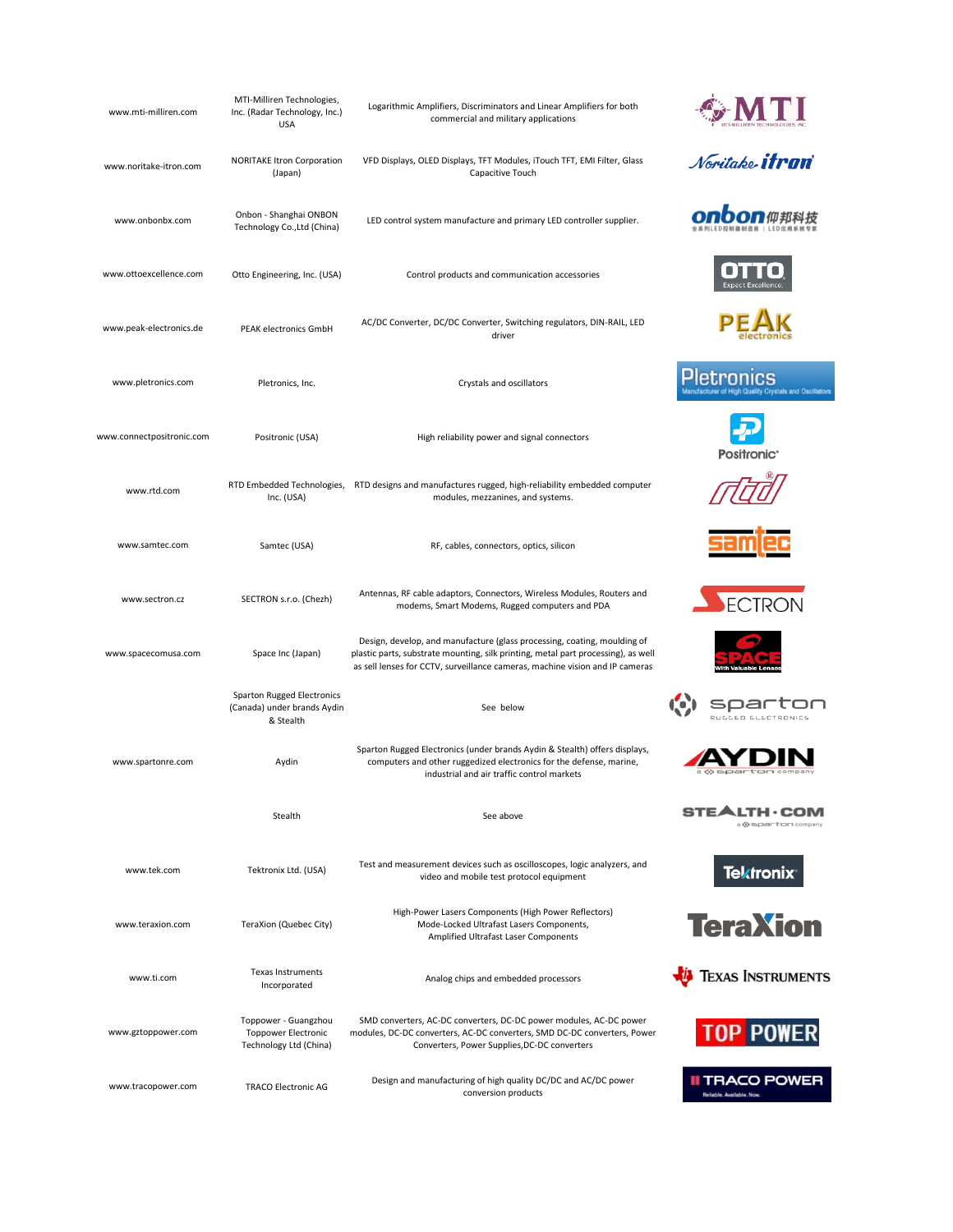| www.mti-milliren.com      | MTI-Milliren Technologies,<br>Inc. (Radar Technology, Inc.)<br><b>USA</b>    | Logarithmic Amplifiers, Discriminators and Linear Amplifiers for both<br>commercial and military applications                                                                                                                                 |                                                              |
|---------------------------|------------------------------------------------------------------------------|-----------------------------------------------------------------------------------------------------------------------------------------------------------------------------------------------------------------------------------------------|--------------------------------------------------------------|
| www.noritake-itron.com    | <b>NORITAKE Itron Corporation</b><br>(Japan)                                 | VFD Displays, OLED Displays, TFT Modules, iTouch TFT, EMI Filter, Glass<br>Capacitive Touch                                                                                                                                                   | Noritake <b>itran</b>                                        |
| www.onbonbx.com           | Onbon - Shanghai ONBON<br>Technology Co., Ltd (China)                        | LED control system manufacture and primary LED controller supplier.                                                                                                                                                                           |                                                              |
| www.ottoexcellence.com    | Otto Engineering, Inc. (USA)                                                 | Control products and communication accessories                                                                                                                                                                                                |                                                              |
| www.peak-electronics.de   | PEAK electronics GmbH                                                        | AC/DC Converter, DC/DC Converter, Switching regulators, DIN-RAIL, LED<br>driver                                                                                                                                                               |                                                              |
| www.pletronics.com        | Pletronics, Inc.                                                             | Crystals and oscillators                                                                                                                                                                                                                      | letron<br>ufacturer of High Quality Crystals and Oscillators |
| www.connectpositronic.com | Positronic (USA)                                                             | High reliability power and signal connectors                                                                                                                                                                                                  | <b>Positronic</b>                                            |
| www.rtd.com               | Inc. (USA)                                                                   | RTD Embedded Technologies, RTD designs and manufactures rugged, high-reliability embedded computer<br>modules, mezzanines, and systems.                                                                                                       |                                                              |
| www.samtec.com            | Samtec (USA)                                                                 | RF, cables, connectors, optics, silicon                                                                                                                                                                                                       |                                                              |
| www.sectron.cz            | SECTRON s.r.o. (Chezh)                                                       | Antennas, RF cable adaptors, Connectors, Wireless Modules, Routers and<br>modems, Smart Modems, Rugged computers and PDA                                                                                                                      | ECTRON                                                       |
| www.spacecomusa.com       | Space Inc (Japan)                                                            | Design, develop, and manufacture (glass processing, coating, moulding of<br>plastic parts, substrate mounting, silk printing, metal part processing), as well<br>as sell lenses for CCTV, surveillance cameras, machine vision and IP cameras |                                                              |
|                           | Sparton Rugged Electronics<br>(Canada) under brands Aydin<br>& Stealth       | See below                                                                                                                                                                                                                                     | RUGGED ELECTRONICS                                           |
| www.spartonre.com         | Aydin                                                                        | Sparton Rugged Electronics (under brands Aydin & Stealth) offers displays,<br>computers and other ruggedized electronics for the defense, marine,<br>industrial and air traffic control markets                                               |                                                              |
|                           | Stealth                                                                      | See above                                                                                                                                                                                                                                     | & sparton compan                                             |
| www.tek.com               | Tektronix Ltd. (USA)                                                         | Test and measurement devices such as oscilloscopes, logic analyzers, and<br>video and mobile test protocol equipment                                                                                                                          | <b>Tektronix®</b>                                            |
| www.teraxion.com          | TeraXion (Quebec City)                                                       | High-Power Lasers Components (High Power Reflectors)<br>Mode-Locked Ultrafast Lasers Components,<br>Amplified Ultrafast Laser Components                                                                                                      | <b>TeraXion</b>                                              |
| www.ti.com                | <b>Texas Instruments</b><br>Incorporated                                     | Analog chips and embedded processors                                                                                                                                                                                                          | <b>TEXAS INSTRUMENTS</b>                                     |
| www.gztoppower.com        | Toppower - Guangzhou<br><b>Toppower Electronic</b><br>Technology Ltd (China) | SMD converters, AC-DC converters, DC-DC power modules, AC-DC power<br>modules, DC-DC converters, AC-DC converters, SMD DC-DC converters, Power<br>Converters, Power Supplies, DC-DC converters                                                | <b>TOP POWER</b>                                             |
| www.tracopower.com        | <b>TRACO Electronic AG</b>                                                   | Design and manufacturing of high quality DC/DC and AC/DC power<br>conversion products                                                                                                                                                         | II TRACO POWER<br>Reliable. Available. Now.                  |